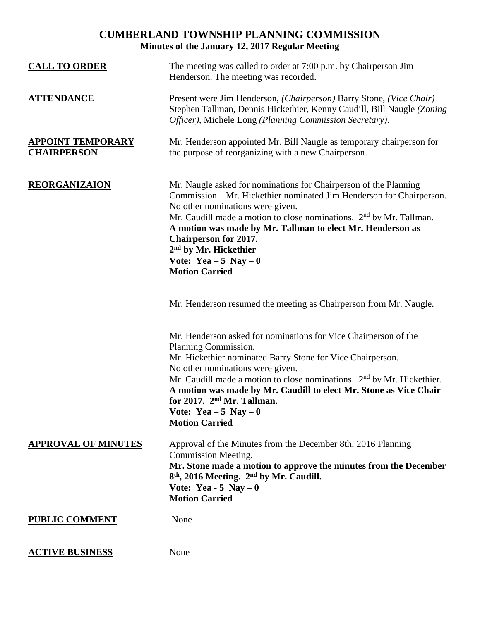# **CUMBERLAND TOWNSHIP PLANNING COMMISSION Minutes of the January 12, 2017 Regular Meeting**

| <b>CALL TO ORDER</b>                           | The meeting was called to order at 7:00 p.m. by Chairperson Jim<br>Henderson. The meeting was recorded.                                                                                                                                                                                                                                                                                                                                               |
|------------------------------------------------|-------------------------------------------------------------------------------------------------------------------------------------------------------------------------------------------------------------------------------------------------------------------------------------------------------------------------------------------------------------------------------------------------------------------------------------------------------|
| <b>ATTENDANCE</b>                              | Present were Jim Henderson, (Chairperson) Barry Stone, (Vice Chair)<br>Stephen Tallman, Dennis Hickethier, Kenny Caudill, Bill Naugle (Zoning<br>Officer), Michele Long (Planning Commission Secretary).                                                                                                                                                                                                                                              |
| <b>APPOINT TEMPORARY</b><br><b>CHAIRPERSON</b> | Mr. Henderson appointed Mr. Bill Naugle as temporary chairperson for<br>the purpose of reorganizing with a new Chairperson.                                                                                                                                                                                                                                                                                                                           |
| <b>REORGANIZAION</b>                           | Mr. Naugle asked for nominations for Chairperson of the Planning<br>Commission. Mr. Hickethier nominated Jim Henderson for Chairperson.<br>No other nominations were given.<br>Mr. Caudill made a motion to close nominations. 2 <sup>nd</sup> by Mr. Tallman.<br>A motion was made by Mr. Tallman to elect Mr. Henderson as<br><b>Chairperson for 2017.</b><br>2 <sup>nd</sup> by Mr. Hickethier<br>Vote: Yea $-5$ Nay $-0$<br><b>Motion Carried</b> |
|                                                | Mr. Henderson resumed the meeting as Chairperson from Mr. Naugle.                                                                                                                                                                                                                                                                                                                                                                                     |
|                                                | Mr. Henderson asked for nominations for Vice Chairperson of the<br>Planning Commission.<br>Mr. Hickethier nominated Barry Stone for Vice Chairperson.<br>No other nominations were given.<br>Mr. Caudill made a motion to close nominations. 2 <sup>nd</sup> by Mr. Hickethier.<br>A motion was made by Mr. Caudill to elect Mr. Stone as Vice Chair<br>for 2017. 2 <sup>nd</sup> Mr. Tallman.<br>Vote: Yea $-5$ Nay $-0$<br><b>Motion Carried</b>    |
| <b>APPROVAL OF MINUTES</b>                     | Approval of the Minutes from the December 8th, 2016 Planning<br>Commission Meeting.<br>Mr. Stone made a motion to approve the minutes from the December<br>8 <sup>th</sup> , 2016 Meeting. 2 <sup>nd</sup> by Mr. Caudill.<br>Vote: Yea - 5 Nay $-0$<br><b>Motion Carried</b>                                                                                                                                                                         |
| <b>PUBLIC COMMENT</b>                          | None                                                                                                                                                                                                                                                                                                                                                                                                                                                  |
| <b>ACTIVE BUSINESS</b>                         | None                                                                                                                                                                                                                                                                                                                                                                                                                                                  |